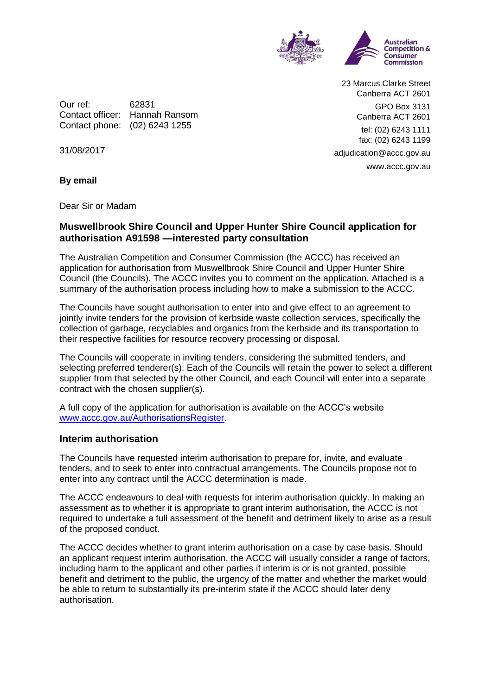

Our ref: 62831 Contact officer: Hannah Ransom Contact phone: (02) 6243 1255

23 Marcus Clarke Street Canberra ACT 2601 GPO Box 3131 Canberra ACT 2601 tel: (02) 6243 1111 fax: (02) 6243 1199 adjudication@accc.gov.au www.accc.gov.au

31/08/2017

**By email**

Dear Sir or Madam

## **Muswellbrook Shire Council and Upper Hunter Shire Council application for authorisation A91598 —interested party consultation**

The Australian Competition and Consumer Commission (the ACCC) has received an application for authorisation from Muswellbrook Shire Council and Upper Hunter Shire Council (the Councils). The ACCC invites you to comment on the application. Attached is a summary of the authorisation process including how to make a submission to the ACCC.

The Councils have sought authorisation to enter into and give effect to an agreement to jointly invite tenders for the provision of kerbside waste collection services, specifically the collection of garbage, recyclables and organics from the kerbside and its transportation to their respective facilities for resource recovery processing or disposal.

The Councils will cooperate in inviting tenders, considering the submitted tenders, and selecting preferred tenderer(s). Each of the Councils will retain the power to select a different supplier from that selected by the other Council, and each Council will enter into a separate contract with the chosen supplier(s).

A full copy of the application for authorisation is available on the ACCC's website [www.accc.gov.au/AuthorisationsRegister.](http://www.accc.gov.au/AuthorisationsRegister)

#### **Interim authorisation**

The Councils have requested interim authorisation to prepare for, invite, and evaluate tenders, and to seek to enter into contractual arrangements. The Councils propose not to enter into any contract until the ACCC determination is made.

The ACCC endeavours to deal with requests for interim authorisation quickly. In making an assessment as to whether it is appropriate to grant interim authorisation, the ACCC is not required to undertake a full assessment of the benefit and detriment likely to arise as a result of the proposed conduct.

The ACCC decides whether to grant interim authorisation on a case by case basis. Should an applicant request interim authorisation, the ACCC will usually consider a range of factors, including harm to the applicant and other parties if interim is or is not granted, possible benefit and detriment to the public, the urgency of the matter and whether the market would be able to return to substantially its pre-interim state if the ACCC should later deny authorisation.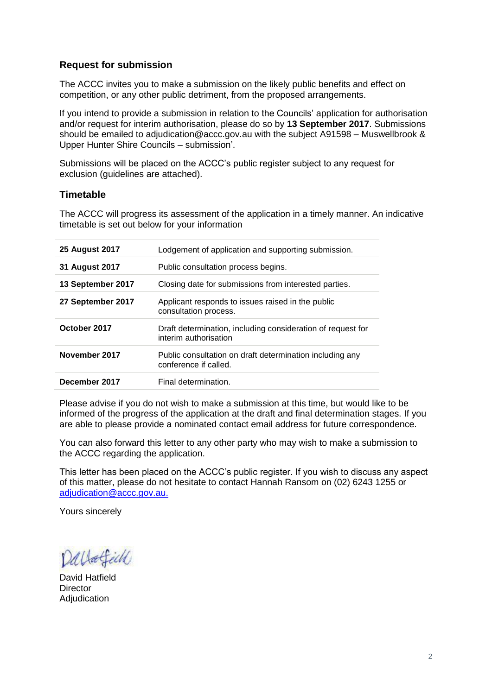# **Request for submission**

The ACCC invites you to make a submission on the likely public benefits and effect on competition, or any other public detriment, from the proposed arrangements.

If you intend to provide a submission in relation to the Councils' application for authorisation and/or request for interim authorisation, please do so by **13 September 2017**. Submissions should be emailed to adjudication@accc.gov.au with the subject A91598 – Muswellbrook & Upper Hunter Shire Councils – submission'.

Submissions will be placed on the ACCC's public register subject to any request for exclusion (guidelines are attached).

## **Timetable**

The ACCC will progress its assessment of the application in a timely manner. An indicative timetable is set out below for your information

| <b>25 August 2017</b> | Lodgement of application and supporting submission.                                  |
|-----------------------|--------------------------------------------------------------------------------------|
| 31 August 2017        | Public consultation process begins.                                                  |
| 13 September 2017     | Closing date for submissions from interested parties.                                |
| 27 September 2017     | Applicant responds to issues raised in the public<br>consultation process.           |
| October 2017          | Draft determination, including consideration of request for<br>interim authorisation |
| November 2017         | Public consultation on draft determination including any<br>conference if called.    |
| December 2017         | Final determination.                                                                 |

Please advise if you do not wish to make a submission at this time, but would like to be informed of the progress of the application at the draft and final determination stages. If you are able to please provide a nominated contact email address for future correspondence.

You can also forward this letter to any other party who may wish to make a submission to the ACCC regarding the application.

This letter has been placed on the ACCC's public register. If you wish to discuss any aspect of this matter, please do not hesitate to contact Hannah Ransom on (02) 6243 1255 or [adjudication@accc.gov.au.](mailto:adjudication@accc.gov.au)

Yours sincerely

Dallafield

David Hatfield **Director Adjudication**